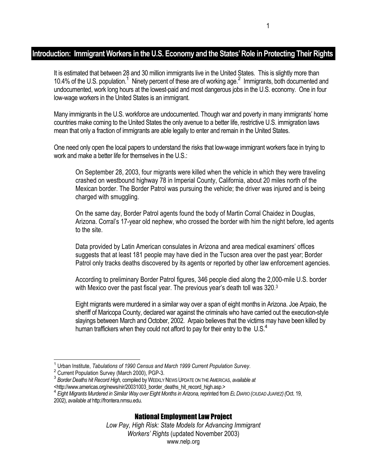## **Introduction: Immigrant Workers in the U.S. Economy and the States' Role in Protecting Their Rights**

It is estimated that between 28 and 30 million immigrants live in the United States. This is slightly more than 10.4% of the U.S. population.<sup>1</sup> Ninety percent of these are of working age.<sup>2</sup> Immigrants, both documented and undocumented, work long hours at the lowest-paid and most dangerous jobs in the U.S. economy. One in four low-wage workers in the United States is an immigrant.

Many immigrants in the U.S. workforce are undocumented. Though war and poverty in many immigrants' home countries make coming to the United States the only avenue to a better life, restrictive U.S. immigration laws mean that only a fraction of immigrants are able legally to enter and remain in the United States.

One need only open the local papers to understand the risks that low-wage immigrant workers face in trying to work and make a better life for themselves in the U.S.:

On September 28, 2003, four migrants were killed when the vehicle in which they were traveling crashed on westbound highway 78 in Imperial County, California, about 20 miles north of the Mexican border. The Border Patrol was pursuing the vehicle; the driver was injured and is being charged with smuggling.

On the same day, Border Patrol agents found the body of Martin Corral Chaidez in Douglas, Arizona. Corral's 17-year old nephew, who crossed the border with him the night before, led agents to the site.

Data provided by Latin American consulates in Arizona and area medical examiners' offices suggests that at least 181 people may have died in the Tucson area over the past year; Border Patrol only tracks deaths discovered by its agents or reported by other law enforcement agencies.

According to preliminary Border Patrol figures, 346 people died along the 2,000-mile U.S. border with Mexico over the past fiscal year. The previous year's death toll was 320.3

Eight migrants were murdered in a similar way over a span of eight months in Arizona. Joe Arpaio, the sheriff of Maricopa County, declared war against the criminals who have carried out the execution-style slayings between March and October, 2002. Arpaio believes that the victims may have been killed by human traffickers when they could not afford to pay for their entry to the  $\;$  U.S.<sup>4</sup>

 $\overline{a}$ 

## National Employment Law Project

<sup>&</sup>lt;sup>1</sup> Urban Institute, *Tabulations of 1990 Census and March 1999 Current Population Survey.*<br><sup>2</sup> Current Population Survey (March 2000), PCP 2

<sup>2</sup> Current Population Survey (March 2000), PGP-3.

<sup>3</sup> *Border Deaths hit Record High,* compiled by WEEKLY NEWS UPDATE ON THE AMERICAS, *available at* 

<sup>&</sup>lt;http://www.americas.org/news/nir/20031003\_border\_deaths\_hit\_record\_high.asp.> <sup>4</sup> *Eight Migrants Murdered in Similar Way over Eight Months in Arizona,* reprinted from *EL DIARIO (CIUDAD JUAREZ)(*Oct. 19, 2002), *available at* http://frontera.nmsu.edu.

*Low Pay, High Risk: State Models for Advancing Immigrant Workers' Rights* (updated November 2003) www.nelp.org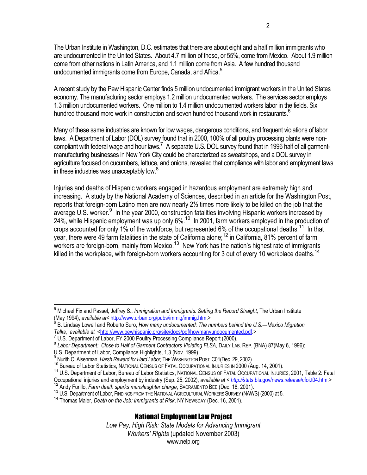The Urban Institute in Washington, D.C. estimates that there are about eight and a half million immigrants who are undocumented in the United States. About 4.7 million of these, or 55%, come from Mexico. About 1.9 million come from other nations in Latin America, and 1.1 million come from Asia. A few hundred thousand undocumented immigrants come from Europe, Canada, and Africa.<sup>5</sup>

A recent study by the Pew Hispanic Center finds 5 million undocumented immigrant workers in the United States economy. The manufacturing sector employs 1.2 million undocumented workers. The services sector employs 1.3 million undocumented workers. One million to 1.4 million undocumented workers labor in the fields. Six hundred thousand more work in construction and seven hundred thousand work in restaurants.<sup>6</sup>

Many of these same industries are known for low wages, dangerous conditions, and frequent violations of labor laws. A Department of Labor (DOL) survey found that in 2000, 100% of all poultry processing plants were noncompliant with federal wage and hour laws.<sup>7</sup> A separate U.S. DOL survey found that in 1996 half of all garmentmanufacturing businesses in New York City could be characterized as sweatshops, and a DOL survey in agriculture focused on cucumbers, lettuce, and onions, revealed that compliance with labor and employment laws in these industries was unacceptably low.<sup>8</sup>

Injuries and deaths of Hispanic workers engaged in hazardous employment are extremely high and increasing. A study by the National Academy of Sciences, described in an article for the Washington Post, reports that foreign-born Latino men are now nearly 2½ times more likely to be killed on the job that the average U.S. worker.<sup>9</sup> In the year 2000, construction fatalities involving Hispanic workers increased by 24%, while Hispanic employment was up only 6%.<sup>10</sup> In 2001, farm workers employed in the production of crops accounted for only 1% of the workforce, but represented 6% of the occupational deaths.<sup>11</sup> In that year, there were 49 farm fatalities in the state of California alone;<sup>12</sup> in California, 81% percent of farm workers are foreign-born, mainly from Mexico.<sup>13</sup> New York has the nation's highest rate of immigrants killed in the workplace, with foreign-born workers accounting for 3 out of every 10 workplace deaths.<sup>14</sup>

## National Employment Law Project

*Low Pay, High Risk: State Models for Advancing Immigrant Workers' Rights* (updated November 2003) www.nelp.org

 5 Michael Fix and Passel, Jeffrey S., *Immigration and Immigrants: Setting the Record Straight,* The Urban Institute (May 1994), *available at<* http://www.urban.org/pubs/immig/immig.htm.>

<sup>&</sup>lt;sup>6</sup> B. Lindsay Lowell and Roberto Suro, How many undocumented: The numbers behind the U.S.—Mexico Migration *Talks*, *available at* <http://www.pewhispanic.org/site/docs/pdf/howmanyundocumented.pdf.>

<sup>&</sup>lt;sup>7</sup> U.S. Department of Labor, FY 2000 Poultry Processing Compliance Report (2000).

BULD DEPERTMENT OF LABOR, FILIC COMPORT COMPLIANCE REPORT (2000). 8 *Labor Department: Close to Half of Garment Contractors Violating FLSA*, DAILY LAB. REP. (BNA) 87 (May 6, 1996);

U.S. Department of Labor, Compliance Highlights, 1,3 (Nov. 1999).

<sup>&</sup>lt;sup>9</sup> Nurith C. Aisenman, Harsh Reward for Hard Labor, THE WASHINGTON POST C01(Dec. 29, 2002).

<sup>&</sup>lt;sup>10</sup> Bureau of Labor Statistics, NATIONAL CENSUS OF FATAL OCCUPATIONAL INJURIES IN 2000 (Aug. 14, 2001).<br><sup>11</sup> U.S. Department of Labor, Bureau of Labor Statistics, NATIONAL CENSUS OF FATAL OCCUPATIONAL INJURIES, 2001, Tabl

Occupational injuries and employment by industry (Sep. 25, 2002), *available at < http://*stats.bls.gov/news.release/cfoi.t04.htm*.>*

<sup>&</sup>lt;sup>13</sup> U.S. Department of Labor, FINDINGS FROM THE NATIONAL AGRICULTURAL WORKERS SURVEY (NAWS) (2000) at 5.<br><sup>14</sup> Thomas Maier, *Death on the Job: Immigrants at Risk*, NY NEWSDAY (Dec. 16, 2001).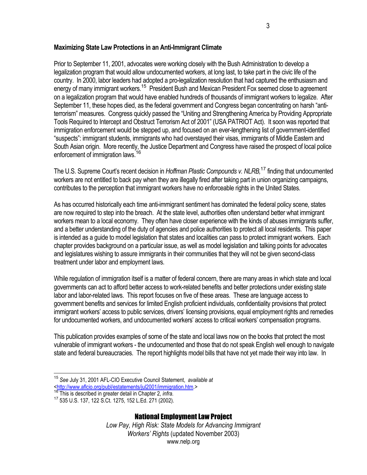#### **Maximizing State Law Protections in an Anti-Immigrant Climate**

Prior to September 11, 2001, advocates were working closely with the Bush Administration to develop a legalization program that would allow undocumented workers, at long last, to take part in the civic life of the country. In 2000, labor leaders had adopted a pro-legalization resolution that had captured the enthusiasm and energy of many immigrant workers.<sup>15</sup> President Bush and Mexican President Fox seemed close to agreement on a legalization program that would have enabled hundreds of thousands of immigrant workers to legalize. After September 11, these hopes died, as the federal government and Congress began concentrating on harsh "antiterrorism" measures. Congress quickly passed the "Uniting and Strengthening America by Providing Appropriate Tools Required to Intercept and Obstruct Terrorism Act of 2001" (USA PATRIOT Act). It soon was reported that immigration enforcement would be stepped up, and focused on an ever-lengthening list of government-identified "suspects": immigrant students, immigrants who had overstayed their visas, immigrants of Middle Eastern and South Asian origin. More recently, the Justice Department and Congress have raised the prospect of local police enforcement of immigration laws.<sup>16</sup>

The U.S. Supreme Court's recent decision in *Hoffman Plastic Compounds v. NLRB,*<sup>17</sup> finding that undocumented workers are not entitled to back pay when they are illegally fired after taking part in union organizing campaigns, contributes to the perception that immigrant workers have no enforceable rights in the United States.

As has occurred historically each time anti-immigrant sentiment has dominated the federal policy scene, states are now required to step into the breach. At the state level, authorities often understand better what immigrant workers mean to a local economy. They often have closer experience with the kinds of abuses immigrants suffer, and a better understanding of the duty of agencies and police authorities to protect all local residents. This paper is intended as a guide to model legislation that states and localities can pass to protect immigrant workers. Each chapter provides background on a particular issue, as well as model legislation and talking points for advocates and legislatures wishing to assure immigrants in their communities that they will not be given second-class treatment under labor and employment laws.

While regulation of immigration itself is a matter of federal concern, there are many areas in which state and local governments can act to afford better access to work-related benefits and better protections under existing state labor and labor-related laws. This report focuses on five of these areas. These are language access to government benefits and services for limited English proficient individuals, confidentiality provisions that protect immigrant workers' access to public services, drivers' licensing provisions, equal employment rights and remedies for undocumented workers, and undocumented workers' access to critical workers' compensation programs.

This publication provides examples of some of the state and local laws now on the books that protect the most vulnerable of immigrant workers - the undocumented and those that do not speak English well enough to navigate state and federal bureaucracies. The report highlights model bills that have not yet made their way into law. In

#### National Employment Law Project

*Low Pay, High Risk: State Models for Advancing Immigrant Workers' Rights* (updated November 2003) www.nelp.org

l <sup>15</sup> *See* July 31, 2001 AFL-CIO Executive Council Statement, *available at* <http://www.aflcio.org/publ/estatements/jul2001/immigration.htm.>

<sup>&</sup>lt;sup>16</sup> This is described in greater detail in Chapter 2, *infra.*<br><sup>17</sup> 535 U.S. 137, 122 S.Ct. 1275, 152 L.Ed. 271 (2002).